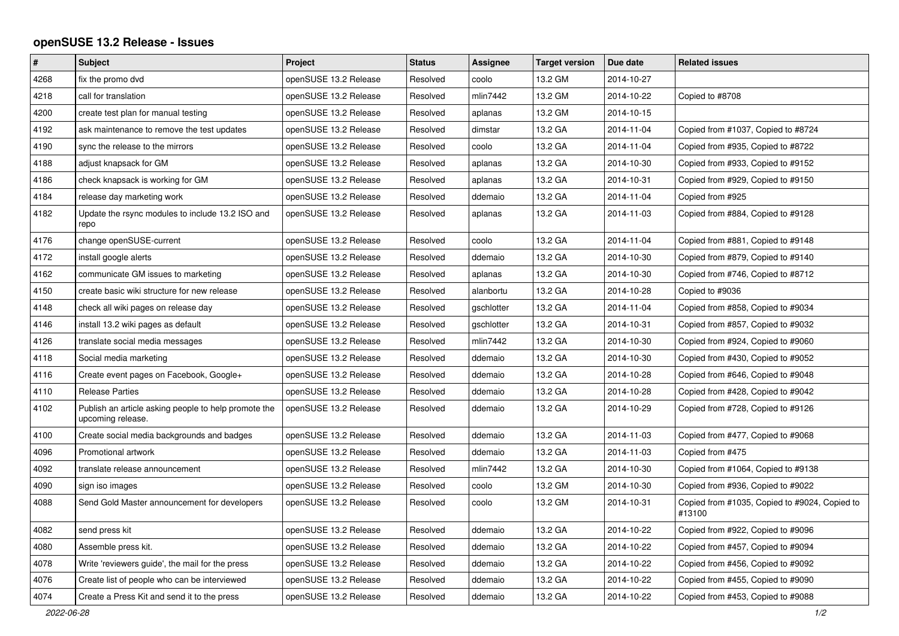## **openSUSE 13.2 Release - Issues**

| $\pmb{\#}$ | <b>Subject</b>                                                            | Project               | <b>Status</b> | Assignee   | <b>Target version</b> | Due date   | <b>Related issues</b>                                   |
|------------|---------------------------------------------------------------------------|-----------------------|---------------|------------|-----------------------|------------|---------------------------------------------------------|
| 4268       | fix the promo dvd                                                         | openSUSE 13.2 Release | Resolved      | coolo      | 13.2 GM               | 2014-10-27 |                                                         |
| 4218       | call for translation                                                      | openSUSE 13.2 Release | Resolved      | mlin7442   | 13.2 GM               | 2014-10-22 | Copied to #8708                                         |
| 4200       | create test plan for manual testing                                       | openSUSE 13.2 Release | Resolved      | aplanas    | 13.2 GM               | 2014-10-15 |                                                         |
| 4192       | ask maintenance to remove the test updates                                | openSUSE 13.2 Release | Resolved      | dimstar    | 13.2 GA               | 2014-11-04 | Copied from #1037, Copied to #8724                      |
| 4190       | sync the release to the mirrors                                           | openSUSE 13.2 Release | Resolved      | coolo      | 13.2 GA               | 2014-11-04 | Copied from #935, Copied to #8722                       |
| 4188       | adjust knapsack for GM                                                    | openSUSE 13.2 Release | Resolved      | aplanas    | 13.2 GA               | 2014-10-30 | Copied from #933, Copied to #9152                       |
| 4186       | check knapsack is working for GM                                          | openSUSE 13.2 Release | Resolved      | aplanas    | 13.2 GA               | 2014-10-31 | Copied from #929, Copied to #9150                       |
| 4184       | release day marketing work                                                | openSUSE 13.2 Release | Resolved      | ddemaio    | 13.2 GA               | 2014-11-04 | Copied from #925                                        |
| 4182       | Update the rsync modules to include 13.2 ISO and<br>repo                  | openSUSE 13.2 Release | Resolved      | aplanas    | 13.2 GA               | 2014-11-03 | Copied from #884, Copied to #9128                       |
| 4176       | change openSUSE-current                                                   | openSUSE 13.2 Release | Resolved      | coolo      | 13.2 GA               | 2014-11-04 | Copied from #881, Copied to #9148                       |
| 4172       | install google alerts                                                     | openSUSE 13.2 Release | Resolved      | ddemaio    | 13.2 GA               | 2014-10-30 | Copied from #879, Copied to #9140                       |
| 4162       | communicate GM issues to marketing                                        | openSUSE 13.2 Release | Resolved      | aplanas    | 13.2 GA               | 2014-10-30 | Copied from #746, Copied to #8712                       |
| 4150       | create basic wiki structure for new release                               | openSUSE 13.2 Release | Resolved      | alanbortu  | 13.2 GA               | 2014-10-28 | Copied to #9036                                         |
| 4148       | check all wiki pages on release day                                       | openSUSE 13.2 Release | Resolved      | gschlotter | 13.2 GA               | 2014-11-04 | Copied from #858, Copied to #9034                       |
| 4146       | install 13.2 wiki pages as default                                        | openSUSE 13.2 Release | Resolved      | gschlotter | 13.2 GA               | 2014-10-31 | Copied from #857, Copied to #9032                       |
| 4126       | translate social media messages                                           | openSUSE 13.2 Release | Resolved      | mlin7442   | 13.2 GA               | 2014-10-30 | Copied from #924, Copied to #9060                       |
| 4118       | Social media marketing                                                    | openSUSE 13.2 Release | Resolved      | ddemaio    | 13.2 GA               | 2014-10-30 | Copied from #430, Copied to #9052                       |
| 4116       | Create event pages on Facebook, Google+                                   | openSUSE 13.2 Release | Resolved      | ddemaio    | 13.2 GA               | 2014-10-28 | Copied from #646, Copied to #9048                       |
| 4110       | <b>Release Parties</b>                                                    | openSUSE 13.2 Release | Resolved      | ddemaio    | 13.2 GA               | 2014-10-28 | Copied from #428, Copied to #9042                       |
| 4102       | Publish an article asking people to help promote the<br>upcoming release. | openSUSE 13.2 Release | Resolved      | ddemaio    | 13.2 GA               | 2014-10-29 | Copied from #728, Copied to #9126                       |
| 4100       | Create social media backgrounds and badges                                | openSUSE 13.2 Release | Resolved      | ddemaio    | 13.2 GA               | 2014-11-03 | Copied from #477, Copied to #9068                       |
| 4096       | Promotional artwork                                                       | openSUSE 13.2 Release | Resolved      | ddemaio    | 13.2 GA               | 2014-11-03 | Copied from #475                                        |
| 4092       | translate release announcement                                            | openSUSE 13.2 Release | Resolved      | mlin7442   | 13.2 GA               | 2014-10-30 | Copied from #1064, Copied to #9138                      |
| 4090       | sign iso images                                                           | openSUSE 13.2 Release | Resolved      | coolo      | 13.2 GM               | 2014-10-30 | Copied from #936, Copied to #9022                       |
| 4088       | Send Gold Master announcement for developers                              | openSUSE 13.2 Release | Resolved      | coolo      | 13.2 GM               | 2014-10-31 | Copied from #1035, Copied to #9024, Copied to<br>#13100 |
| 4082       | send press kit                                                            | openSUSE 13.2 Release | Resolved      | ddemaio    | 13.2 GA               | 2014-10-22 | Copied from #922, Copied to #9096                       |
| 4080       | Assemble press kit.                                                       | openSUSE 13.2 Release | Resolved      | ddemaio    | 13.2 GA               | 2014-10-22 | Copied from #457, Copied to #9094                       |
| 4078       | Write 'reviewers guide', the mail for the press                           | openSUSE 13.2 Release | Resolved      | ddemaio    | 13.2 GA               | 2014-10-22 | Copied from #456, Copied to #9092                       |
| 4076       | Create list of people who can be interviewed                              | openSUSE 13.2 Release | Resolved      | ddemaio    | 13.2 GA               | 2014-10-22 | Copied from #455, Copied to #9090                       |
| 4074       | Create a Press Kit and send it to the press                               | openSUSE 13.2 Release | Resolved      | ddemaio    | 13.2 GA               | 2014-10-22 | Copied from #453, Copied to #9088                       |